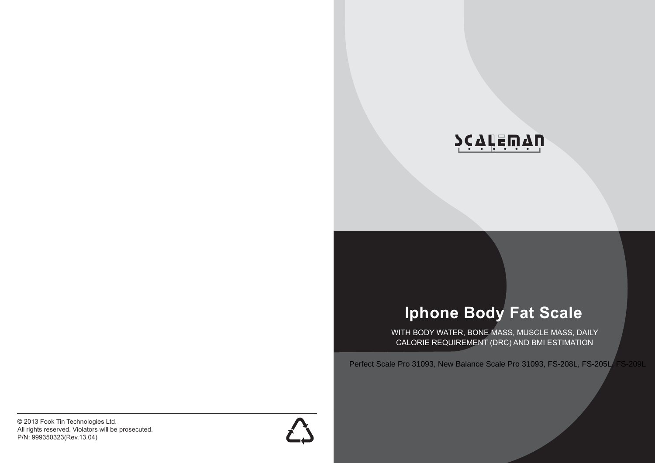

# **Iphone Body Fat Scale**

WITH BODY WATER, BONE MASS, MUSCLE MASS, DAILY CALORIE REQUIREMENT (DRC) AND BMI ESTIMATION

Perfect Scale Pro 31093, New Balance Scale Pro 31093, FS-208L, FS-205L, FS-209L

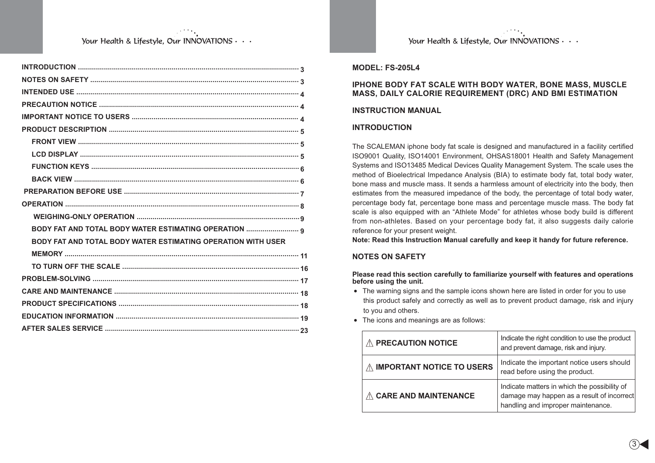| BODY FAT AND TOTAL BODY WATER ESTIMATING OPERATION  q        |
|--------------------------------------------------------------|
| BODY FAT AND TOTAL BODY WATER ESTIMATING OPERATION WITH USER |
|                                                              |
|                                                              |
|                                                              |
|                                                              |
|                                                              |
|                                                              |
|                                                              |

Your Health & Lifestyle, Our INNOVATIONS . . .

#### **MODEL: FS-205L4**

#### **IPHONE BODY FAT SCALE WITH BODY WATER, BONE MASS, MUSCLE MASS, DAILY CALORIE REQUIREMENT (DRC) AND BMI ESTIMATION**

#### **INSTRUCTION MANUAL**

#### **INTRODUCTION**

The SCALEMAN iphone body fat scale is designed and manufactured in a facility certified ISO9001 Quality, ISO14001 Environment, OHSAS18001 Health and Safety Management Systems and ISO13485 Medical Devices Quality Management System. The scale uses the method of Bioelectrical Impedance Analysis (BIA) to estimate body fat, total body water, bone mass and muscle mass. It sends a harmless amount of electricity into the body, then estimates from the measured impedance of the body, the percentage of total body water, percentage body fat, percentage bone mass and percentage muscle mass. The body fat scale is also equipped with an "Athlete Mode" for athletes whose body build is different from non-athletes. Based on your percentage body fat, it also suggests daily calorie reference for your present weight.

**Note: Read this Instruction Manual carefully and keep it handy for future reference.**

#### **NOTES ON SAFETY**

**Please read this section carefully to familiarize yourself with features and operations before using the unit.**

- The warning signs and the sample icons shown here are listed in order for you to use this product safely and correctly as well as to prevent product damage, risk and injury to you and others.
- The icons and meanings are as follows:

| <b>PRECAUTION NOTICE</b>         | Indicate the right condition to use the product<br>and prevent damage, risk and injury.                                          |
|----------------------------------|----------------------------------------------------------------------------------------------------------------------------------|
| <b>IMPORTANT NOTICE TO USERS</b> | Indicate the important notice users should<br>read before using the product.                                                     |
| <b>CARE AND MAINTENANCE</b>      | Indicate matters in which the possibility of<br>damage may happen as a result of incorrect<br>handling and improper maintenance. |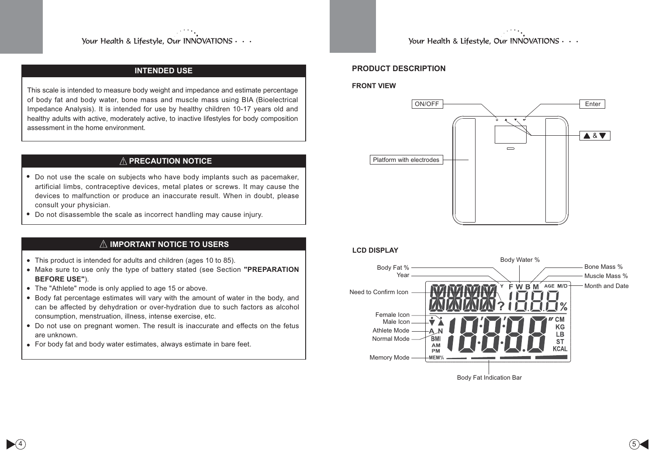# **INTENDED USE**

This scale is intended to measure body weight and impedance and estimate percentage of body fat and body water, bone mass and muscle mass using BIA (Bioelectrical Impedance Analysis). It is intended for use by healthy children 10-17 years old and healthy adults with active, moderately active, to inactive lifestyles for body composition assessment in the home environment.

# **PRECAUTION NOTICE**

- Do not use the scale on subjects who have body implants such as pacemaker, artificial limbs, contraceptive devices, metal plates or screws. It may cause the devices to malfunction or produce an inaccurate result. When in doubt, please consult your physician.
- Do not disassemble the scale as incorrect handling may cause injury.

## **IMPORTANT NOTICE TO USERS**

- This product is intended for adults and children (ages 10 to 85).
- Make sure to use only the type of battery stated (see Section **"PREPARATION BEFORE USE"**).
- The "Athlete" mode is only applied to age 15 or above.
- Body fat percentage estimates will vary with the amount of water in the body, and can be affected by dehydration or over-hydration due to such factors as alcohol consumption, menstruation, illness, intense exercise, etc.
- Do not use on pregnant women. The result is inaccurate and effects on the fetus are unknown.
- For body fat and body water estimates, always estimate in bare feet.

Your Health & Lifestyle, Our INNOVATIONS . . .

## **PRODUCT DESCRIPTION**

#### **FRONT VIEW**



#### **LCD DISPLAY**

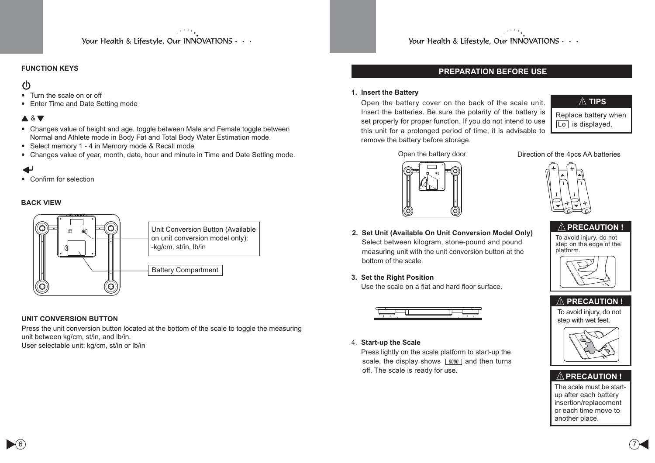# **FUNCTION KEYS**

# $\mathcal{L}$

- Turn the scale on or off
- Enter Time and Date Setting mode

# **A** & **V**

- Changes value of height and age, toggle between Male and Female toggle between Normal and Athlete mode in Body Fat and Total Body Water Estimation mode.
- Select memory 1 4 in Memory mode & Recall mode
- Changes value of year, month, date, hour and minute in Time and Date Setting mode.

# $\overline{\phantom{a}}$

• Confirm for selection

#### **BACK VIEW**



#### **UNIT CONVERSION BUTTON**

Press the unit conversion button located at the bottom of the scale to toggle the measuring unit between kg/cm, st/in, and lb/in. User selectable unit: kg/cm, st/in or lb/in

Your Health & Lifestyle, Our INNOVATIONS . . .

## **PREPARATION BEFORE USE**

#### **1. Insert the Battery**

Open the battery cover on the back of the scale unit. Insert the batteries. Be sure the polarity of the battery is set properly for proper function. If you do not intend to use this unit for a prolonged period of time, it is advisable to remove the battery before storage.



Replace battery when Lo is displayed.



Open the battery door Direction of the 4pcs AA batteries



- **2. Set Unit (Available On Unit Conversion Model Only)** Select between kilogram, stone-pound and pound measuring unit with the unit conversion button at the bottom of the scale.
- **3. Set the Right Position**

Use the scale on a flat and hard floor surface.



4. **Start-up the Scale**

 Press lightly on the scale platform to start-up the scale, the display shows  $\sqrt{0000}$  and then turns off. The scale is ready for use.



To avoid injury, do not step on the edge of the platform.





# **PRECAUTION !**

The scale must be startup after each battery insertion/replacement or each time move to another place.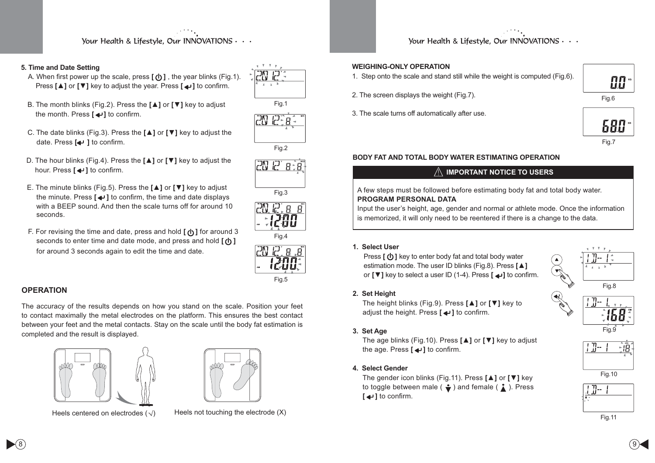#### **5. Time and Date Setting**

- A. When first power up the scale, press  $\lceil (1) \rceil$ , the year blinks (Fig.1). Press [**▲**] or **[▼**] key to adjust the year. Press [  $\blacktriangle$  ] to confirm.
- B. The month blinks (Fig.2). Press the **[▲]** or **[▼]** key to adjust the month. Press  $\left[\rightleftarrow\right]$  to confirm.
- C. The date blinks (Fig.3). Press the **[▲]** or **[▼]** key to adjust the date. Press [<detail 1 to confirm.
- **D. The hour blinks (Fig.4). Press the [▲] or [▼] key to adjust the** hour. Press  $\left[\biguplus\right]$  to confirm.
- E. The minute blinks (Fig.5). Press the **[▲]** or **[▼]** key to adjust the minute. Press  $\left[\right. \rightleftharpoons$  **1** to confirm, the time and date displays with a BEEP sound. And then the scale turns off for around 10 seconds.
- F. For revising the time and date, press and hold  $\lceil$  (**b**) ar around 3 seconds to enter time and date mode, and press and hold  $\lceil (1) \rceil$ for around 3 seconds again to edit the time and date.

#### **OPERATION**

The accuracy of the results depends on how you stand on the scale. Position your feet to contact maximally the metal electrodes on the platform. This ensures the best contact between your feet and the metal contacts. Stay on the scale until the body fat estimation is completed and the result is displayed.





Heels centered on electrodes  $(\sqrt{)}$  Heels not touching the electrode  $(X)$ 













Your Health & Lifestyle, Our INNOVATIONS  $\cdots$ 

#### **WEIGHING-ONLY OPERATION**

1. Step onto the scale and stand still while the weight is computed (Fig.6).



3. The scale turns off automatically after use.



册

#### Fig.7

#### **BODY FAT AND TOTAL BODY WATER ESTIMATING OPERATION**

# **IMPORTANT NOTICE TO USERS**

#### A few steps must be followed before estimating body fat and total body water. **PROGRAM PERSONAL DATA**

Input the user's height, age, gender and normal or athlete mode. Once the information is memorized, it will only need to be reentered if there is a change to the data.

#### **1. Select User**

Press  $\lceil (1) \rceil$  key to enter body fat and total body water estimation mode. The user ID blinks (Fig.8). Press [**▲**] or **[▼]** key to select a user ID (1-4). Press **[ ↩**] to confirm.

#### **2. Set Height**

The height blinks (Fig.9). Press **[▲]** or **[▼]** key to adjust the height. Press  $\left[\rightleftarrow\right]$  to confirm.



#### **3. Set Age**

The age blinks (Fig.10). Press **[≜]** or **[▼]** key to adjust the age. Press  $\left[\rightleftarrow\right]$  to confirm.

## **4. Select Gender**

The gender icon blinks (Fig.11). Press **[▲]** or **[▼]** key to toggle between male ( $\div$ ) and female ( $\div$ ). Press **[** $\triangle$ <sup>1</sup>**]** to confirm.





Fig.9







 $^{8)}$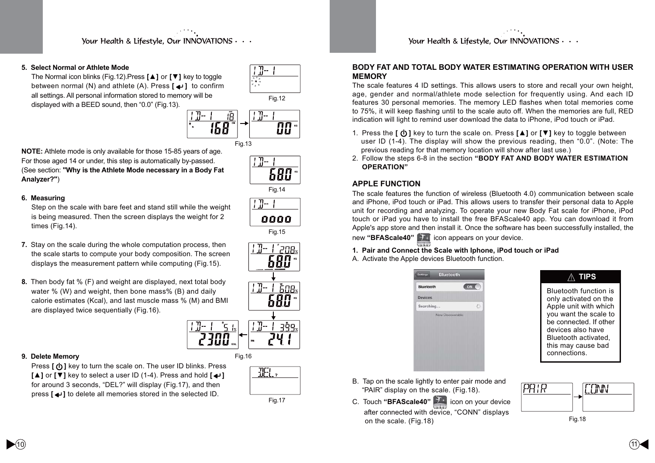#### **5. Select Normal or Athlete Mode**

The Normal icon blinks (Fig.12).Press **[▲]** or **[▼]** key to toggle between normal (N) and athlete (A). Press  $\lceil \bigoplus \rceil$  to confirm all settings. All personal information stored to memory will be displayed with a BEED sound, then "0.0" (Fig.13).



**NOTE:** Athlete mode is only available for those 15-85 years of age. For those aged 14 or under, this step is automatically by-passed. (See section: **"Why is the Athlete Mode necessary in a Body Fat Analyzer?"**)

#### **6. Measuring**

Step on the scale with bare feet and stand still while the weight is being measured. Then the screen displays the weight for 2 times (Fig.14).

- **7.** Stay on the scale during the whole computation process, then the scale starts to compute your body composition. The screen displays the measurement pattern while computing (Fig.15).
- **8.** Then body fat % (F) and weight are displayed, next total body water % (W) and weight, then bone mass% (B) and daily calorie estimates (Kcal), and last muscle mass % (M) and BMI are displayed twice sequentially (Fig.16).



Fig.16

#### **9. Delete Memory**

Press  $[$  (**b**) key to turn the scale on. The user ID blinks. Press  $\blacksquare$  or  $\blacksquare$  key to select a user ID (1-4). Press and hold  $\blacksquare$ for around 3 seconds, "DEL?" will display (Fig.17), and then press  $\left[\rightleftharpoons$  to delete all memories stored in the selected ID.

| -2      |
|---------|
|         |
| Fig. 17 |

Fig.14

 $1 -$ 

 $1 - 1$ 

**680 \*** 

Fig.15

680

ĔО8× 680 \*

០០០០

Your Health & Lifestyle. Our INNOVATIONS . . .

#### **BODY FAT AND TOTAL BODY WATER ESTIMATING OPERATION WITH USER MEMORY**

The scale features 4 ID settings. This allows users to store and recall your own height, age, gender and normal/athlete mode selection for frequently using. And each ID features 30 personal memories. The memory LED flashes when total memories come to 75%, it will keep flashing until to the scale auto off. When the memories are full, RED indication will light to remind user download the data to iPhone, iPod touch or iPad.

- 1. Press the **[ ① ]** key to turn the scale on. Press **[**▲] or [▼] key to toggle between user ID (1-4). The display will show the previous reading, then "0.0". (Note: The previous reading for that memory location will show after last use.)
- 2. Follow the steps 6-8 in the section **"BODY FAT AND BODY WATER ESTIMATION OPERATION"**

# **APPLE FUNCTION**

The scale features the function of wireless (Bluetooth 4.0) communication between scale and iPhone, iPod touch or iPad. This allows users to transfer their personal data to Apple unit for recording and analyzing. To operate your new Body Fat scale for iPhone, iPod touch or iPad you have to install the free BFAScale40 app. You can download it from Apple's app store and then install it. Once the software has been successfully installed, the new **"BFAScale40"** icon appears on your device.

#### **1. Pair and Connect the Scale with Iphone, iPod touch or iPad**

A. Activate the Apple devices Bluetooth function.

| <b>Bluetooth</b><br><b>Settings</b> |            |  |
|-------------------------------------|------------|--|
| Bluetooth                           | ON         |  |
| <b>Devices</b>                      |            |  |
| Searching                           | $\epsilon$ |  |
|                                     |            |  |
|                                     |            |  |
|                                     |            |  |
|                                     |            |  |

**TIPS**

Bluetooth function is only activated on the Apple unit with which you want the scale to be connected. If other devices also have Bluetooth activated, this may cause bad connections.

- B. Tap on the scale lightly to enter pair mode and "PAIR" display on the scale. (Fig.18).
- C. Touch **"BFAScale40"** icon on your device  after connected with device, "CONN" displays on the scale. (Fig.18)

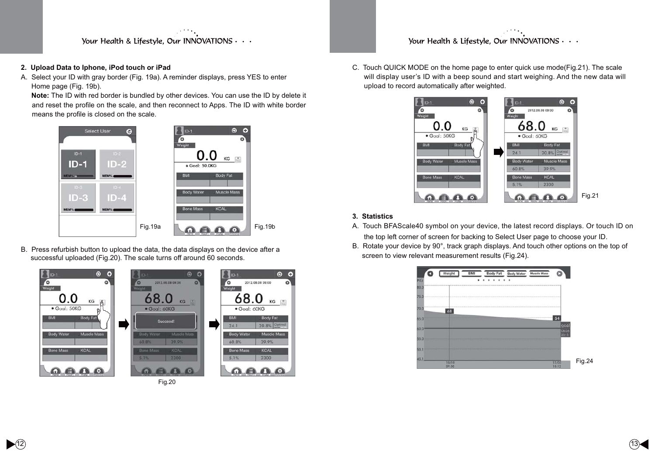#### **2. Upload Data to Iphone, iPod touch or iPad**

A. Select your ID with gray border (Fig. 19a). A reminder displays, press YES to enter Home page (Fig. 19b).

 **Note:** The ID with red border is bundled by other devices. You can use the ID by delete it and reset the profile on the scale, and then reconnect to Apps. The ID with white border means the profile is closed on the scale.



B. Press refurbish button to upload the data, the data displays on the device after a successful uploaded (Fig.20). The scale turns off around 60 seconds.



Fig.20

# Your Health & Lifestyle, Our INNOVATIONS  $\cdots$

C. Touch QUICK MODE on the home page to enter quick use mode(Fig.21). The scale will display user's ID with a beep sound and start weighing. And the new data will upload to record automatically after weighted.



## **3. Statistics**

- A. Touch BFAScale40 symbol on your device, the latest record displays. Or touch ID on the top left corner of screen for backing to Select User page to choose your ID.
- B. Rotate your device by 90°, track graph displays. And touch other options on the top of screen to view relevant measurement results (Fig.24).

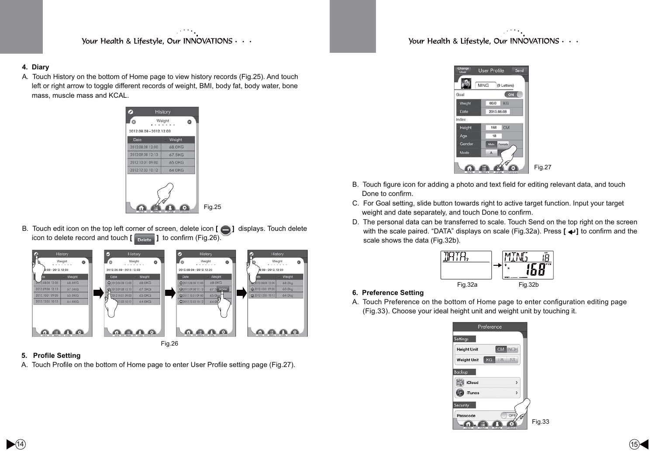Your Health & Lifestyle, Our INNOVATIONS  $\cdots$ 

#### **4. Diary**

A. Touch History on the bottom of Home page to view history records (Fig.25). And touch left or right arrow to toggle different records of weight, BMI, body fat, body water, bone mass, muscle mass and KCAL.



B. Touch edit icon on the top left corner of screen, delete icon **[**  $\Box$  ] displays. Touch delete icon to delete record and touch  $\left[\begin{array}{c} \Box \ \Box \end{array}\right]$  to confirm (Fig. 26).



#### 5. Profile Setting

A. Touch Profile on the bottom of Home page to enter User Profile setting page (Fig.27).



- B. Touch figure icon for adding a photo and text field for editing relevant data, and touch Done to confirm.
- C. For Goal setting, slide button towards right to active target function. Input your target weight and date separately, and touch Done to confirm.
- D. The personal data can be transferred to scale. Touch Send on the top right on the screen with the scale paired. "DATA" displays on scale (Fig.32a). Press  $\left[\right] \leftrightarrow \right]$  to confirm and the scale shows the data (Fig.32b).



# **6. Preference Setting**

A. Touch Preference on the bottom of Home page to enter configuration editing page (Fig.33). Choose your ideal height unit and weight unit by touching it.

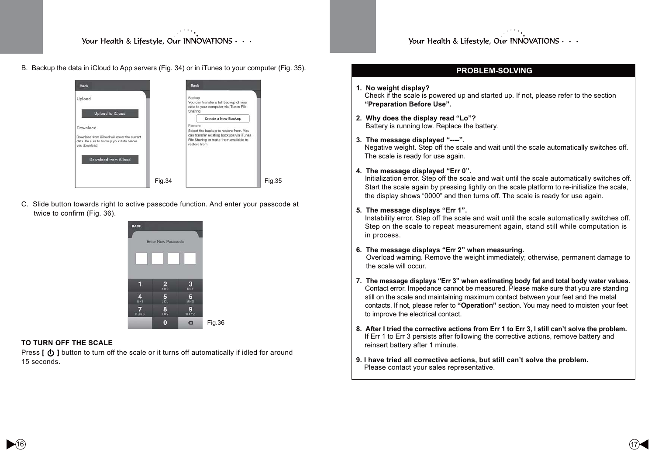B. Backup the data in iCloud to App servers (Fig. 34) or in iTunes to your computer (Fig. 35).



C. Slide button towards right to active passcode function. And enter your passcode at twice to confirm (Fig. 36).



#### **TO TURN OFF THE SCALE**

Press  $\lceil$  (**b**) button to turn off the scale or it turns off automatically if idled for around 15 seconds.

## **PROBLEM-SOLVING**

#### **1. No weight display?** Check if the scale is powered up and started up. If not, please refer to the section **"Preparation Before Use".**

- **2. Why does the display read "Lo"?** Battery is running low. Replace the battery.
- **3. The message displayed "----".**

 Negative weight. Step off the scale and wait until the scale automatically switches off. The scale is ready for use again.

#### **4. The message displayed "Err 0".**

Initialization error. Step off the scale and wait until the scale automatically switches off. Start the scale again by pressing lightly on the scale platform to re-initialize the scale, the display shows "0000" and then turns off. The scale is ready for use again.

#### **5. The message displays "Err 1".**

Instability error. Step off the scale and wait until the scale automatically switches off. Step on the scale to repeat measurement again, stand still while computation is in process.

#### **6. The message displays "Err 2" when measuring.**

Overload warning. Remove the weight immediately; otherwise, permanent damage to the scale will occur.

- **7. The message displays "Err 3" when estimating body fat and total body water values.** Contact error. Impedance cannot be measured. Please make sure that you are standing still on the scale and maintaining maximum contact between your feet and the metal contacts. If not, please refer to **"Operation"** section. You may need to moisten your feet to improve the electrical contact.
- **8. After I tried the corrective actions from Err 1 to Err 3, I still can't solve the problem.** If Err 1 to Err 3 persists after following the corrective actions, remove battery and reinsert battery after 1 minute.
- **9. I have tried all corrective actions, but still can't solve the problem.** Please contact your sales representative.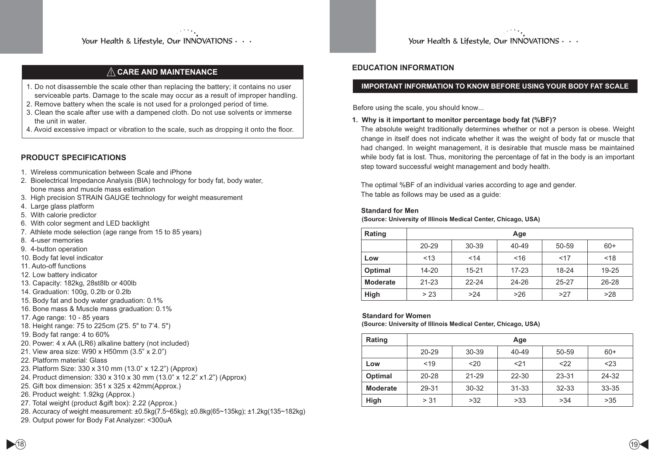# **CCARE AND MAINTENANCE**

- 1. Do not disassemble the scale other than replacing the battery; it contains no user serviceable parts. Damage to the scale may occur as a result of improper handling.
- 2. Remove battery when the scale is not used for a prolonged period of time.
- 3. Clean the scale after use with a dampened cloth. Do not use solvents or immerse the unit in water.
- 4. Avoid excessive impact or vibration to the scale, such as dropping it onto the floor.

# **PRODUCT SPECIFICATIONS**

- 1. Wireless communication between Scale and iPhone
- 2. Bioelectrical Impedance Analysis (BIA) technology for body fat, body water, bone mass and muscle mass estimation
- 3. High precision STRAIN GAUGE technology for weight measurement
- 4. Large glass platform
- 5. With calorie predictor
- 6. With color segment and LED backlight
- 7. Athlete mode selection (age range from 15 to 85 years)
- 8. 4-user memories
- 9. 4-button operation
- 10. Body fat level indicator
- 11. Auto-off functions
- 12. Low battery indicator
- 13. Capacity: 182kg, 28st8lb or 400lb
- 14. Graduation: 100g, 0.2lb or 0.2lb
- 15. Body fat and body water graduation: 0.1%
- 16. Bone mass & Muscle mass graduation: 0.1%
- 17. Age range: 10 85 years
- 18. Height range: 75 to 225cm (2'5. 5" to 7'4. 5")
- 19. Body fat range: 4 to 60%
- 20. Power: 4 x AA (LR6) alkaline battery (not included)
- 21. View area size: W90 x H50mm (3.5" x 2.0")
- 22. Platform material: Glass
- 23. Platform Size: 330 x 310 mm (13.0" x 12.2") (Approx)
- 24. Product dimension: 330 x 310 x 30 mm (13.0" x 12.2" x1.2") (Approx)
- 25. Gift box dimension: 351 x 325 x 42mm(Approx.)
- 26. Product weight: 1.92kg (Approx.)
- 27. Total weight (product &gift box): 2.22 (Approx.)
- 28. Accuracy of weight measurement: ±0.5kg(7.5~65kg); ±0.8kg(65~135kg); ±1.2kg(135~182kg)
- 29. Output power for Body Fat Analyzer: <300uA

Your Health & Lifestyle, Our INNOVATIONS  $\cdots$ 

## **EDUCATION INFORMATION**

## **IMPORTANT INFORMATION TO KNOW BEFORE USING YOUR BODY FAT SCALE**

Before using the scale, you should know...

#### **1. Why is it important to monitor percentage body fat (%BF)?**

The absolute weight traditionally determines whether or not a person is obese. Weight change in itself does not indicate whether it was the weight of body fat or muscle that had changed. In weight management, it is desirable that muscle mass be maintained while body fat is lost. Thus, monitoring the percentage of fat in the body is an important step toward successful weight management and body health.

The optimal %BF of an individual varies according to age and gender. The table as follows may be used as a guide:

#### **Standard for Men**

**(Source: University of Illinois Medical Center, Chicago, USA)**

| Rating          | Age       |           |           |           |           |
|-----------------|-----------|-----------|-----------|-----------|-----------|
|                 | $20 - 29$ | 30-39     | 40-49     | 50-59     | $60+$     |
| Low             | < 13      | 14        | ~16       | 17        | < 18      |
| Optimal         | $14 - 20$ | $15 - 21$ | $17 - 23$ | 18-24     | 19-25     |
| <b>Moderate</b> | $21 - 23$ | $22 - 24$ | 24-26     | $25 - 27$ | $26 - 28$ |
| High            | > 23      | >24       | >26       | >27       | >28       |

#### **Standard for Women**

**(Source: University of Illinois Medical Center, Chicago, USA)**

| Rating          | Age       |           |           |           |       |
|-----------------|-----------|-----------|-----------|-----------|-------|
|                 | $20 - 29$ | 30-39     | 40-49     | 50-59     | $60+$ |
| Low             | < 19      | $20$      | 21        | $<$ 22    | < 23  |
| <b>Optimal</b>  | 20-28     | $21 - 29$ | $22 - 30$ | 23-31     | 24-32 |
| <b>Moderate</b> | 29-31     | $30 - 32$ | $31 - 33$ | $32 - 33$ | 33-35 |
| High            | > 31      | >32       | >33       | >34       | >35   |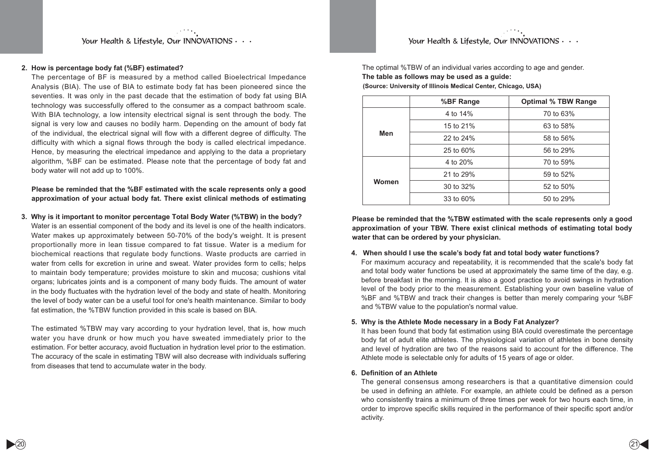Your Health & Lifestyle, Our INNOVATIONS  $\cdots$ 

#### **2. How is percentage body fat (%BF) estimated?**

The percentage of BF is measured by a method called Bioelectrical Impedance Analysis (BIA). The use of BIA to estimate body fat has been pioneered since the seventies. It was only in the past decade that the estimation of body fat using BIA technology was successfully offered to the consumer as a compact bathroom scale. With BIA technology, a low intensity electrical signal is sent through the body. The signal is very low and causes no bodily harm. Depending on the amount of body fat of the individual, the electrical signal will flow with a different degree of difficulty. The difficulty with which a signal flows through the body is called electrical impedance. Hence, by measuring the electrical impedance and applying to the data a proprietary algorithm, %BF can be estimated. Please note that the percentage of body fat and body water will not add up to 100%.

**Please be reminded that the %BF estimated with the scale represents only a good approximation of your actual body fat. There exist clinical methods of estimating** 

**3. Why is it important to monitor percentage Total Body Water (%TBW) in the body?**  Water is an essential component of the body and its level is one of the health indicators. Water makes up approximately between 50-70% of the body's weight. It is present proportionally more in lean tissue compared to fat tissue. Water is a medium for biochemical reactions that regulate body functions. Waste products are carried in water from cells for excretion in urine and sweat. Water provides form to cells; helps to maintain body temperature; provides moisture to skin and mucosa; cushions vital organs; lubricates joints and is a component of many body fluids. The amount of water in the body fluctuates with the hydration level of the body and state of health. Monitoring the level of body water can be a useful tool for one's health maintenance. Similar to body fat estimation, the %TBW function provided in this scale is based on BIA.

The estimated %TBW may vary according to your hydration level, that is, how much water you have drunk or how much you have sweated immediately prior to the estimation. For better accuracy, avoid fluctuation in hydration level prior to the estimation. The accuracy of the scale in estimating TBW will also decrease with individuals suffering from diseases that tend to accumulate water in the body.

The optimal %TBW of an individual varies according to age and gender. **The table as follows may be used as a guide: (Source: University of Illinois Medical Center, Chicago, USA)**

|       | %BF Range    | <b>Optimal % TBW Range</b> |
|-------|--------------|----------------------------|
|       | 4 to 14%     | 70 to 63%                  |
|       | 15 to 21%    | 63 to 58%                  |
| Men   | 22 to 24%    | 58 to 56%                  |
|       | 25 to $60\%$ | 56 to 29%                  |
|       | 4 to 20%     | 70 to 59%                  |
|       | 21 to 29%    | 59 to 52%                  |
| Women | 30 to 32%    | 52 to 50%                  |
|       | 33 to 60%    | 50 to 29%                  |

**Please be reminded that the %TBW estimated with the scale represents only a good approximation of your TBW. There exist clinical methods of estimating total body water that can be ordered by your physician.**

#### **4. When should I use the scale's body fat and total body water functions?**

For maximum accuracy and repeatability, it is recommended that the scale's body fat and total body water functions be used at approximately the same time of the day, e.g. before breakfast in the morning. It is also a good practice to avoid swings in hydration level of the body prior to the measurement. Establishing your own baseline value of %BF and %TBW and track their changes is better than merely comparing your %BF and %TBW value to the population's normal value.

#### **5. Why is the Athlete Mode necessary in a Body Fat Analyzer?**

It has been found that body fat estimation using BIA could overestimate the percentage body fat of adult elite athletes. The physiological variation of athletes in bone density and level of hydration are two of the reasons said to account for the difference. The Athlete mode is selectable only for adults of 15 years of age or older.

#### 6. Definition of an Athlete

The general consensus among researchers is that a quantitative dimension could be used in defining an athlete. For example, an athlete could be defined as a person who consistently trains a minimum of three times per week for two hours each time, in order to improve specific skills required in the performance of their specific sport and/or activity.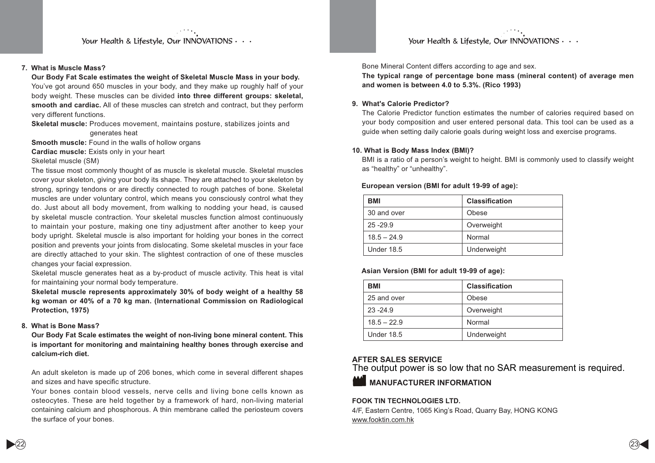Your Health & Lifestyle, Our INNOVATIONS  $\cdots$ 

#### **7. What is Muscle Mass?**

**Our Body Fat Scale estimates the weight of Skeletal Muscle Mass in your body.** You've got around 650 muscles in your body, and they make up roughly half of your body weight. These muscles can be divided **into three different groups: skeletal, smooth and cardiac.** All of these muscles can stretch and contract, but they perform very different functions.

**Skeletal muscle:** Produces movement, maintains posture, stabilizes joints and generates heat

**Smooth muscle:** Found in the walls of hollow organs

**Cardiac muscle:** Exists only in your heart

#### Skeletal muscle (SM)

The tissue most commonly thought of as muscle is skeletal muscle. Skeletal muscles cover your skeleton, giving your body its shape. They are attached to your skeleton by strong, springy tendons or are directly connected to rough patches of bone. Skeletal muscles are under voluntary control, which means you consciously control what they do. Just about all body movement, from walking to nodding your head, is caused by skeletal muscle contraction. Your skeletal muscles function almost continuously to maintain your posture, making one tiny adjustment after another to keep your body upright. Skeletal muscle is also important for holding your bones in the correct position and prevents your joints from dislocating. Some skeletal muscles in your face are directly attached to your skin. The slightest contraction of one of these muscles changes your facial expression.

Skeletal muscle generates heat as a by-product of muscle activity. This heat is vital for maintaining your normal body temperature.

**Skeletal muscle represents approximately 30% of body weight of a healthy 58 kg woman or 40% of a 70 kg man. (International Commission on Radiological Protection, 1975)**

#### **8. What is Bone Mass?**

**Our Body Fat Scale estimates the weight of non-living bone mineral content. This is important for monitoring and maintaining healthy bones through exercise and calcium-rich diet.**

An adult skeleton is made up of 206 bones, which come in several different shapes and sizes and have specific structure.

Your bones contain blood vessels, nerve cells and living bone cells known as osteocytes. These are held together by a framework of hard, non-living material containing calcium and phosphorous. A thin membrane called the periosteum covers the surface of your bones.

Your Health & Lifestyle, Our INNOVATIONS  $\cdots$ 

Bone Mineral Content differs according to age and sex.

**The typical range of percentage bone mass (mineral content) of average men and women is between 4.0 to 5.3%. (Rico 1993)**

#### **9. What's Calorie Predictor?**

The Calorie Predictor function estimates the number of calories required based on your body composition and user entered personal data. This tool can be used as a guide when setting daily calorie goals during weight loss and exercise programs.

#### **10. What is Body Mass Index (BMI)?**

BMI is a ratio of a person's weight to height. BMI is commonly used to classify weight as "healthy" or "unhealthy".

#### **European version (BMI for adult 19-99 of age):**

| BMI               | <b>Classification</b> |
|-------------------|-----------------------|
| 30 and over       | Obese                 |
| $25 - 29.9$       | Overweight            |
| $18.5 - 24.9$     | Normal                |
| <b>Under 18.5</b> | Underweight           |

#### **Asian Version (BMI for adult 19-99 of age):**

| <b>BMI</b>        | <b>Classification</b> |
|-------------------|-----------------------|
| 25 and over       | Obese                 |
| $23 - 24.9$       | Overweight            |
| $18.5 - 22.9$     | Normal                |
| <b>Under 18.5</b> | Underweight           |

#### **AFTER SALES SERVICE**

The output power is so low that no SAR measurement is required.



# **MANUFACTURER INFORMATION**

#### **FOOK TIN TECHNOLOGIES LTD.**

4/F, Eastern Centre, 1065 King's Road, Quarry Bay, HONG KONG www.fooktin.com.hk